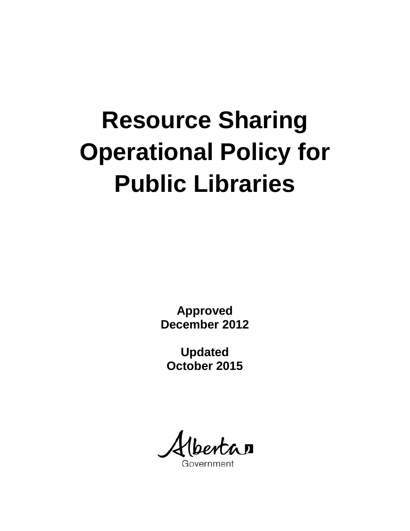# **Resource Sharing Operational Policy for Public Libraries**

**Approved December 2012**

**Updated October 2015**

áП Government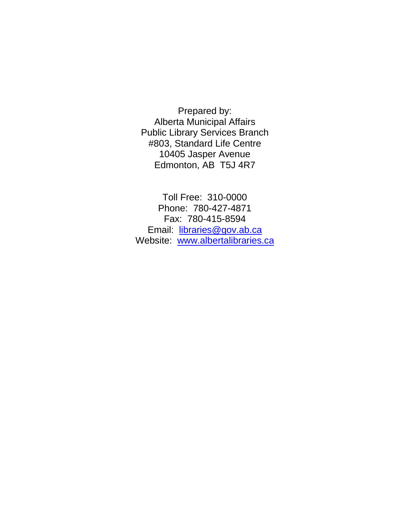Prepared by: Alberta Municipal Affairs Public Library Services Branch #803, Standard Life Centre 10405 Jasper Avenue Edmonton, AB T5J 4R7

Toll Free: 310-0000 Phone: 780-427-4871 Fax: 780-415-8594 Email: [libraries@gov.ab.ca](mailto:libraries@gov.ab.ca) Website: [www.albertalibraries.ca](http://www.albertalibraries.ca/)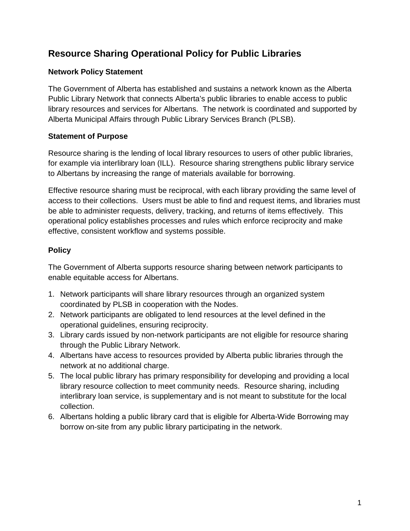# **Resource Sharing Operational Policy for Public Libraries**

# **Network Policy Statement**

The Government of Alberta has established and sustains a network known as the Alberta Public Library Network that connects Alberta's public libraries to enable access to public library resources and services for Albertans. The network is coordinated and supported by Alberta Municipal Affairs through Public Library Services Branch (PLSB).

### **Statement of Purpose**

Resource sharing is the lending of local library resources to users of other public libraries, for example via interlibrary loan (ILL). Resource sharing strengthens public library service to Albertans by increasing the range of materials available for borrowing.

Effective resource sharing must be reciprocal, with each library providing the same level of access to their collections. Users must be able to find and request items, and libraries must be able to administer requests, delivery, tracking, and returns of items effectively. This operational policy establishes processes and rules which enforce reciprocity and make effective, consistent workflow and systems possible.

# **Policy**

The Government of Alberta supports resource sharing between network participants to enable equitable access for Albertans.

- 1. Network participants will share library resources through an organized system coordinated by PLSB in cooperation with the Nodes.
- 2. Network participants are obligated to lend resources at the level defined in the operational guidelines, ensuring reciprocity.
- 3. Library cards issued by non-network participants are not eligible for resource sharing through the Public Library Network.
- 4. Albertans have access to resources provided by Alberta public libraries through the network at no additional charge.
- 5. The local public library has primary responsibility for developing and providing a local library resource collection to meet community needs. Resource sharing, including interlibrary loan service, is supplementary and is not meant to substitute for the local collection.
- 6. Albertans holding a public library card that is eligible for Alberta-Wide Borrowing may borrow on-site from any public library participating in the network.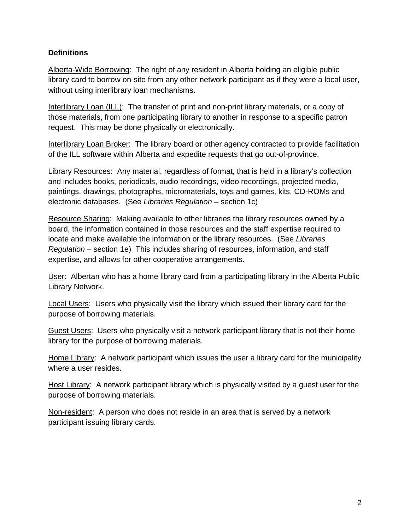#### **Definitions**

Alberta-Wide Borrowing: The right of any resident in Alberta holding an eligible public library card to borrow on-site from any other network participant as if they were a local user, without using interlibrary loan mechanisms.

Interlibrary Loan (ILL): The transfer of print and non-print library materials, or a copy of those materials, from one participating library to another in response to a specific patron request. This may be done physically or electronically.

Interlibrary Loan Broker: The library board or other agency contracted to provide facilitation of the ILL software within Alberta and expedite requests that go out-of-province.

Library Resources: Any material, regardless of format, that is held in a library's collection and includes books, periodicals, audio recordings, video recordings, projected media, paintings, drawings, photographs, micromaterials, toys and games, kits, CD-ROMs and electronic databases. (See *Libraries Regulation* – section 1c)

Resource Sharing: Making available to other libraries the library resources owned by a board, the information contained in those resources and the staff expertise required to locate and make available the information or the library resources. (See *Libraries Regulation* – section 1e) This includes sharing of resources, information, and staff expertise, and allows for other cooperative arrangements.

User: Albertan who has a home library card from a participating library in the Alberta Public Library Network.

Local Users: Users who physically visit the library which issued their library card for the purpose of borrowing materials.

Guest Users: Users who physically visit a network participant library that is not their home library for the purpose of borrowing materials.

Home Library: A network participant which issues the user a library card for the municipality where a user resides.

Host Library: A network participant library which is physically visited by a guest user for the purpose of borrowing materials.

Non-resident: A person who does not reside in an area that is served by a network participant issuing library cards.